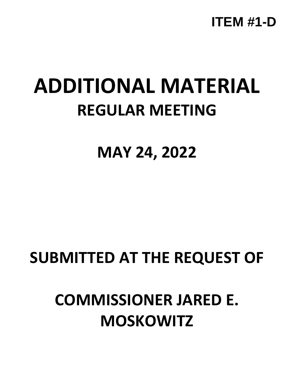

# **ADDITIONAL MATERIAL REGULAR MEETING**

**MAY 24, 2022**

## **SUBMITTED AT THE REQUEST OF**

## **COMMISSIONER JARED E. MOSKOWITZ**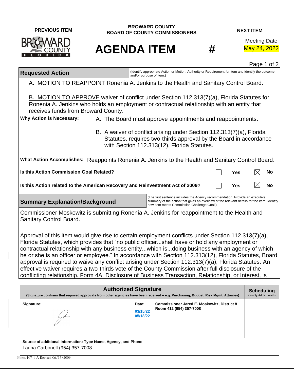

### **AGENDA ITEM** # May 24, 2022

Meeting Date

Page 1 of 2

**Requested Action** (Identify appropriate Action or Motion, Authority or Requirement for Item and identify the outcome and/or purpose of item.)

A. MOTION TO REAPPOINT Ronenia A. Jenkins to the Health and Sanitary Control Board.

B. MOTION TO APPROVE waiver of conflict under Section 112.313(7)(a), Florida Statutes for Ronenia A. Jenkins who holds an employment or contractual relationship with an entity that receives funds from Broward County.

Why Action is Necessary: A. The Board must approve appointments and reappointments.

B. A waiver of conflict arising under Section 112.313(7)(a), Florida Statutes, requires two-thirds approval by the Board in accordance with Section 112.313(12), Florida Statutes.

**What Action Accomplishes:** Reappoints Ronenia A. Jenkins to the Health and Sanitary Control Board.

**Is this Action Commission Goal Related? Ves No** 

| Is this Action related to the American Recovery and Reinvestment Act of 2009? |  | Yes | $\boxtimes$ No |  |
|-------------------------------------------------------------------------------|--|-----|----------------|--|
|-------------------------------------------------------------------------------|--|-----|----------------|--|

#### **Summary Explanation/Background**

(The first sentence includes the Agency recommendation. Provide an executive summary of the action that gives an overview of the relevant details for the item. Identify how item meets Commission Challenge Goal.)

Commissioner Moskowitz is submitting Ronenia A. Jenkins for reappointment to the Health and Sanitary Control Board.

Approval of this item would give rise to certain employment conflicts under Section 112.313(7)(a), Florida Statutes, which provides that "no public officer...shall have or hold any employment or contractual relationship with any business entity...which is...doing business with an agency of which he or she is an officer or employee." In accordance with Section 112.313(12), Florida Statutes, Board approval is required to waive any conflict arising under Section 112.313(7)(a), Florida Statutes. An effective waiver requires a two-thirds vote of the County Commission after full disclosure of the conflicting relationship. Form 4A, Disclosure of Business Transaction, Relationship, or Interest, is

| <b>Authorized Signature</b><br>(Signature confirms that required approvals from other agencies have been received – e.g. Purchasing, Budget, Risk Mgmt, Attorney) |                               |                                                                               | <b>Scheduling</b><br>County Admin initials |
|-------------------------------------------------------------------------------------------------------------------------------------------------------------------|-------------------------------|-------------------------------------------------------------------------------|--------------------------------------------|
| Signature:                                                                                                                                                        | Date:<br>03/15/22<br>05/18/22 | <b>Commissioner Jared E. Moskowitz, District 8</b><br>Room 412 (954) 357-7008 |                                            |
| Source of additional information: Type Name, Agency, and Phone<br>Launa Carbonell (954) 357-7008<br>Form 107-1-A Revised 06/15/2009                               |                               |                                                                               |                                            |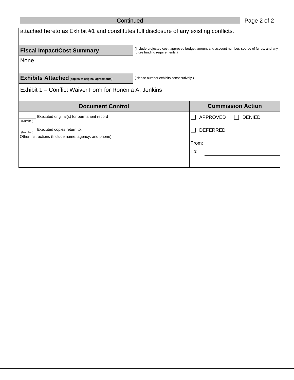| Continued                                                                                        |                                                                                                                               |                          | Page 2 of 2   |
|--------------------------------------------------------------------------------------------------|-------------------------------------------------------------------------------------------------------------------------------|--------------------------|---------------|
| attached hereto as Exhibit #1 and constitutes full disclosure of any existing conflicts.         |                                                                                                                               |                          |               |
| <b>Fiscal Impact/Cost Summary</b>                                                                | (Include projected cost, approved budget amount and account number, source of funds, and any<br>future funding requirements.) |                          |               |
| <b>None</b>                                                                                      |                                                                                                                               |                          |               |
| <b>Exhibits Attached</b> (copies of original agreements)                                         | (Please number exhibits consecutively.)                                                                                       |                          |               |
| Exhibit 1 – Conflict Waiver Form for Ronenia A. Jenkins                                          |                                                                                                                               |                          |               |
| <b>Document Control</b>                                                                          |                                                                                                                               | <b>Commission Action</b> |               |
| Executed original(s) for permanent record<br>(Number)                                            |                                                                                                                               | APPROVED                 | <b>DENIED</b> |
| - Executed copies return to:<br>(Number)<br>Other instructions (Include name, agency, and phone) |                                                                                                                               | <b>DEFERRED</b>          |               |
|                                                                                                  |                                                                                                                               | From:                    |               |
|                                                                                                  |                                                                                                                               | To:                      |               |
|                                                                                                  |                                                                                                                               |                          |               |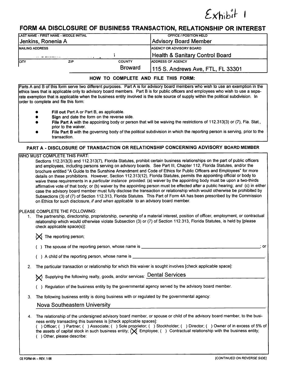### $Exhibit$

#### FORM 4A DISCLOSURE OF BUSINESS TRANSACTION, RELATIONSHIP OR INTEREST

|                        | LAST NAME - FIRST NAME - MIDDLE INITIAL |                | <b>OFFICE / POSITION HELD</b>     |  |
|------------------------|-----------------------------------------|----------------|-----------------------------------|--|
| Jenkins, Ronenia A     |                                         |                | <b>Advisory Board Member</b>      |  |
| <b>MAILING ADDRESS</b> |                                         |                | <b>AGENCY OR ADVISORY BOARD</b>   |  |
|                        |                                         |                | Health & Sanitary Control Board   |  |
| <b>ICITY</b>           | ZIP.                                    | <b>COUNTY</b>  | <b>JADDRESS OF AGENCY</b>         |  |
|                        |                                         | <b>Broward</b> | 115 S. Andrews Ave, FTL, FL 33301 |  |

#### HOW TO COMPLETE AND FILE THIS FORM:

Parts A and B of this form serve two different purposes. Part A is for advisory board members who wish to use an exemption in the ethics laws that is applicable only to advisory board members. Part B is for public officers and employees who wish to use a separate exemption that is applicable when the business entity involved is the sole source of supply within the political subdivision. In order to complete and file this form:

- Fill out Part A or Part B, as applicable.
- Sign and date the form on the reverse side.
- File Part A with the appointing body or person that will be waiving the restrictions of 112.313(3) or (7), Fla. Stat., prior to the waiver.
- File Part B with the governing body of the political subdivision in which the reporting person is serving, prior to the transaction.

#### PART A - DISCLOSURE OF TRANSACTION OR RELATIONSHIP CONCERNING ADVISORY BOARD MEMBER

#### **WHO MUST COMPLETE THIS PART:**

Sections 112.313(3) and 112.313(7), Florida Statutes, prohibit certain business relationships on the part of public officers and employees, including persons serving on advisory boards. See Part III, Chapter 112, Florida Statutes, and/or the brochure entitled "A Guide to the Sunshine Amendment and Code of Ethics for Public Officers and Employees" for more details on these prohibitions. However, Section 112.313(12), Florida Statutes, permits the appointing official or body to waive these requirements in a particular instance provided: (a) waiver by the appointing body must be upon a two-thirds affirmative vote of that body; or (b) waiver by the appointing person must be effected after a public hearing; and (c) in either case the advisory board member must fully disclose the transaction or relationship which would otherwise be prohibited by Subsections (3) of (7) of Section 112.313, Florida Statutes. This Part of Form 4A has been prescribed by the Commission on Ethics for such disclosure, if and when applicable to an advisory board member.

#### PLEASE COMPLETE THE FOLLOWING:

1. The partnership, directorship, proprietorship, ownership of a material interest, position of officer, employment, or contractual relationship which would otherwise violate Subsection (3) or (7) of Section 112.313. Florida Statutes, is held by Iplease check applicable space(s)]:

 $\bigotimes$  The reporting person;

- () A child of the reporting person, whose name is
- 2. The particular transaction or relationship for which this waiver is sought involves [check applicable space]:

N Supplying the following realty, goods, and/or services: Dental Services

() Regulation of the business entity by the governmental agency served by the advisory board member.

3. The following business entity is doing business with or regulated by the governmental agency:

#### **Nova Southeastern University**

4. The relationship of the undersigned advisory board member, or spouse or child of the advisory board member, to the business entity transacting this business is [check applicable spaces]: () Officer; () Partner; () Associate; () Sole proprietor; () Stockholder; () Director; () Owner of in excess of 5% of the assets of capital stock in such business entity;  $\bigtimes$  Employee; () Contractual relationship with the business entity; () Other, please describe:

 $\therefore$  or